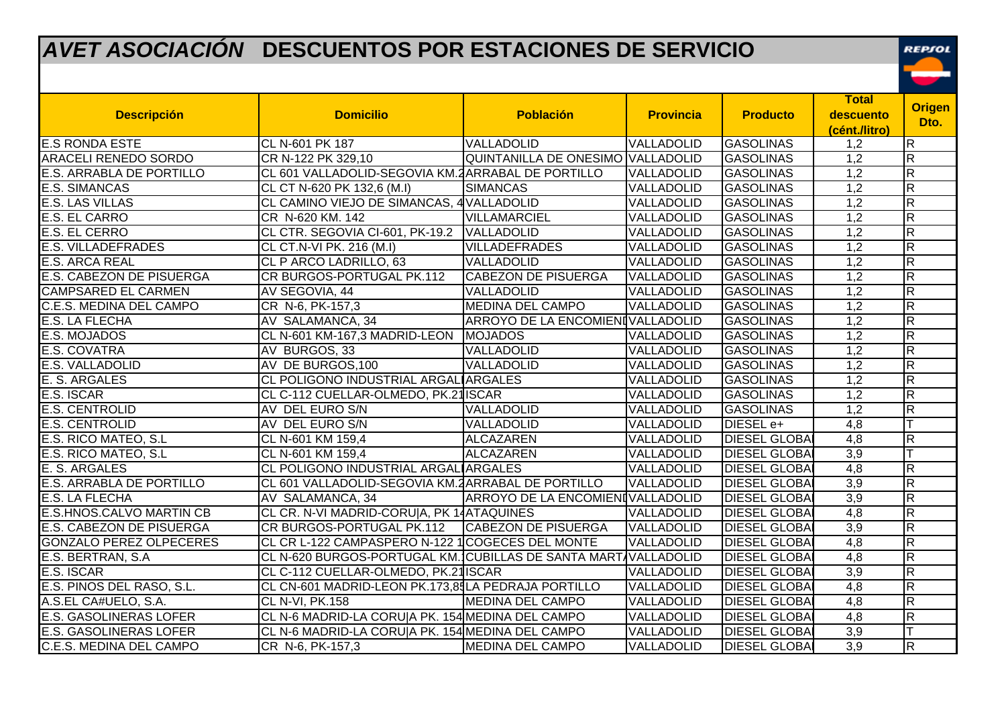## *AVET ASOCIACIÓN* **DESCUENTOS POR ESTACIONES DE SERVICIO**

REPSOL  $\begin{array}{c} \begin{array}{c} \hline \end{array} \end{array}$ 

| <b>Descripción</b>              | <b>Domicilio</b>                                               | <b>Población</b>                  | <b>Provincia</b> | <b>Producto</b>      | <b>Total</b><br>descuento<br>(cént./litro) | <b>Origen</b><br>Dto.   |
|---------------------------------|----------------------------------------------------------------|-----------------------------------|------------------|----------------------|--------------------------------------------|-------------------------|
| <b>E.S RONDA ESTE</b>           | CL N-601 PK 187                                                | VALLADOLID                        | VALLADOLID       | <b>GASOLINAS</b>     | 1,2                                        | R                       |
| ARACELI RENEDO SORDO            | CR N-122 PK 329,10                                             | QUINTANILLA DE ONESIMO VALLADOLID |                  | <b>GASOLINAS</b>     | 1,2                                        | R                       |
| <b>E.S. ARRABLA DE PORTILLO</b> | CL 601 VALLADOLID-SEGOVIA KM.2 ARRABAL DE PORTILLO             |                                   | VALLADOLID       | <b>GASOLINAS</b>     | 1,2                                        | $\overline{R}$          |
| <b>E.S. SIMANCAS</b>            | CL CT N-620 PK 132,6 (M.I)                                     | <b>SIMANCAS</b>                   | VALLADOLID       | <b>GASOLINAS</b>     | 1,2                                        | $\overline{R}$          |
| <b>E.S. LAS VILLAS</b>          | CL CAMINO VIEJO DE SIMANCAS, 4 VALLADOLID                      |                                   | VALLADOLID       | <b>GASOLINAS</b>     | 1,2                                        | $\overline{R}$          |
| <b>E.S. EL CARRO</b>            | CR N-620 KM. 142                                               | <b>VILLAMARCIEL</b>               | VALLADOLID       | <b>GASOLINAS</b>     | $\overline{1,2}$                           | $\overline{R}$          |
| <b>E.S. EL CERRO</b>            | CL CTR. SEGOVIA CI-601, PK-19.2   VALLADOLID                   |                                   | VALLADOLID       | <b>GASOLINAS</b>     | 1,2                                        | R                       |
| <b>E.S. VILLADEFRADES</b>       | CL CT.N-VI PK. 216 (M.I)                                       | <b>VILLADEFRADES</b>              | VALLADOLID       | <b>GASOLINAS</b>     | 1,2                                        | $\overline{R}$          |
| <b>E.S. ARCA REAL</b>           | CL P ARCO LADRILLO, 63                                         | VALLADOLID                        | VALLADOLID       | <b>GASOLINAS</b>     | 1,2                                        | $\overline{R}$          |
| E.S. CABEZON DE PISUERGA        | CR BURGOS-PORTUGAL PK.112                                      | <b>CABEZON DE PISUERGA</b>        | VALLADOLID       | <b>GASOLINAS</b>     | 1,2                                        | R                       |
| <b>CAMPSARED EL CARMEN</b>      | AV SEGOVIA, 44                                                 | VALLADOLID                        | VALLADOLID       | <b>GASOLINAS</b>     | 1,2                                        | $\overline{R}$          |
| C.E.S. MEDINA DEL CAMPO         | CR N-6, PK-157,3                                               | <b>MEDINA DEL CAMPO</b>           | VALLADOLID       | <b>GASOLINAS</b>     | $\overline{1,2}$                           | $\overline{R}$          |
| <b>E.S. LA FLECHA</b>           | AV SALAMANCA, 34                                               | ARROYO DE LA ENCOMIENIVALLADOLID  |                  | <b>GASOLINAS</b>     | 1,2                                        | R                       |
| E.S. MOJADOS                    | CL N-601 KM-167,3 MADRID-LEON                                  | <b>MOJADOS</b>                    | VALLADOLID       | <b>GASOLINAS</b>     | $\overline{1,2}$                           | $\overline{R}$          |
| E.S. COVATRA                    | AV BURGOS, 33                                                  | VALLADOLID                        | VALLADOLID       | <b>GASOLINAS</b>     | 1,2                                        | R                       |
| E.S. VALLADOLID                 | AV DE BURGOS, 100                                              | <b>VALLADOLID</b>                 | VALLADOLID       | <b>GASOLINAS</b>     | 1,2                                        | $\overline{\mathsf{R}}$ |
| E. S. ARGALES                   | CL POLIGONO INDUSTRIAL ARGALIARGALES                           |                                   | VALLADOLID       | <b>GASOLINAS</b>     | 1,2                                        | $\overline{R}$          |
| E.S. ISCAR                      | CL C-112 CUELLAR-OLMEDO, PK.21 ISCAR                           |                                   | VALLADOLID       | <b>GASOLINAS</b>     | 1,2                                        | $\overline{R}$          |
| E.S. CENTROLID                  | AV DEL EURO S/N                                                | VALLADOLID                        | VALLADOLID       | <b>GASOLINAS</b>     | $\overline{1,2}$                           | $\overline{R}$          |
| <b>E.S. CENTROLID</b>           | AV DEL EURO S/N                                                | VALLADOLID                        | VALLADOLID       | DIESEL e+            | 4,8                                        |                         |
| E.S. RICO MATEO, S.L            | CL N-601 KM 159,4                                              | <b>ALCAZAREN</b>                  | VALLADOLID       | <b>DIESEL GLOBA</b>  | 4,8                                        | $\overline{R}$          |
| E.S. RICO MATEO, S.L            | CL N-601 KM 159,4                                              | ALCAZAREN                         | VALLADOLID       | <b>DIESEL GLOBAI</b> | 3,9                                        |                         |
| E. S. ARGALES                   | CL POLIGONO INDUSTRIAL ARGALIARGALES                           |                                   | VALLADOLID       | <b>DIESEL GLOBAI</b> | 4,8                                        | R                       |
| <b>E.S. ARRABLA DE PORTILLO</b> | CL 601 VALLADOLID-SEGOVIA KM.2 ARRABAL DE PORTILLO             |                                   | VALLADOLID       | <b>DIESEL GLOBAI</b> | 3,9                                        | $\overline{R}$          |
| <b>E.S. LA FLECHA</b>           | AV SALAMANCA, 34                                               | ARROYO DE LA ENCOMIENIVALLADOLID  |                  | <b>DIESEL GLOBA</b>  | $\overline{3,9}$                           | $\overline{\mathsf{R}}$ |
| <b>E.S.HNOS.CALVO MARTIN CB</b> | CL CR. N-VI MADRID-CORU A, PK 14ATAQUINES                      |                                   | VALLADOLID       | <b>DIESEL GLOBAI</b> | 4,8                                        | R                       |
| E.S. CABEZON DE PISUERGA        | CR BURGOS-PORTUGAL PK.112                                      | <b>CABEZON DE PISUERGA</b>        | VALLADOLID       | <b>DIESEL GLOBAI</b> | $\overline{3,9}$                           | $\overline{R}$          |
| <b>GONZALO PEREZ OLPECERES</b>  | CL CR L-122 CAMPASPERO N-122 1COGECES DEL MONTE                |                                   | VALLADOLID       | <b>DIESEL GLOBAI</b> | $\overline{4,8}$                           | $\overline{\mathsf{R}}$ |
| E.S. BERTRAN, S.A.              | CL N-620 BURGOS-PORTUGAL KM. CUBILLAS DE SANTA MART VALLADOLID |                                   |                  | <b>DIESEL GLOBAI</b> | 4,8                                        | $\overline{\mathsf{R}}$ |
| E.S. ISCAR                      | CL C-112 CUELLAR-OLMEDO, PK.21 ISCAR                           |                                   | VALLADOLID       | <b>DIESEL GLOBAI</b> | $\overline{3,9}$                           | $\overline{R}$          |
| E.S. PINOS DEL RASO, S.L.       | CL CN-601 MADRID-LEON PK.173,85LA PEDRAJA PORTILLO             |                                   | VALLADOLID       | <b>DIESEL GLOBAI</b> | $\overline{4,8}$                           | $\overline{\mathsf{R}}$ |
| A.S.EL CA#UELO, S.A.            | CL N-VI, PK.158                                                | <b>MEDINA DEL CAMPO</b>           | VALLADOLID       | <b>DIESEL GLOBAI</b> | 4,8                                        | $\overline{\mathsf{R}}$ |
| <b>E.S. GASOLINERAS LOFER</b>   | CL N-6 MADRID-LA CORU A PK. 154 MEDINA DEL CAMPO               |                                   | VALLADOLID       | <b>DIESEL GLOBA</b>  | 4,8                                        | R                       |
| <b>E.S. GASOLINERAS LOFER</b>   | CL N-6 MADRID-LA CORU A PK. 154 MEDINA DEL CAMPO               |                                   | VALLADOLID       | <b>DIESEL GLOBAI</b> | 3,9                                        |                         |
| C.E.S. MEDINA DEL CAMPO         | CR N-6, PK-157,3                                               | <b>MEDINA DEL CAMPO</b>           | VALLADOLID       | <b>DIESEL GLOBAL</b> | $\overline{3,9}$                           | $\overline{\mathsf{R}}$ |